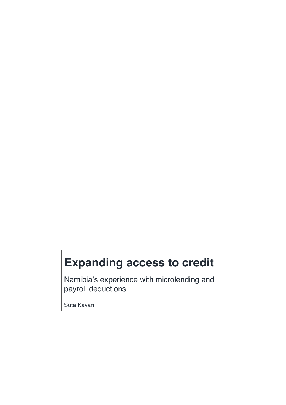# **Expanding access to credit**

Namibia's experience with microlending and payroll deductions

Suta Kavari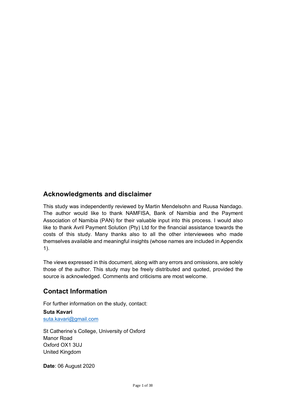## **Acknowledgments and disclaimer**

This study was independently reviewed by Martin Mendelsohn and Ruusa Nandago. The author would like to thank NAMFISA, Bank of Namibia and the Payment Association of Namibia (PAN) for their valuable input into this process. I would also like to thank Avril Payment Solution (Pty) Ltd for the financial assistance towards the costs of this study. Many thanks also to all the other interviewees who made themselves available and meaningful insights (whose names are included in Appendix 1).

The views expressed in this document, along with any errors and omissions, are solely those of the author. This study may be freely distributed and quoted, provided the source is acknowledged. Comments and criticisms are most welcome.

## **Contact Information**

For further information on the study, contact:

**Suta Kavari** suta.kavari@gmail.com

St Catherine's College, University of Oxford Manor Road Oxford OX1 3UJ United Kingdom

**Date**: 06 August 2020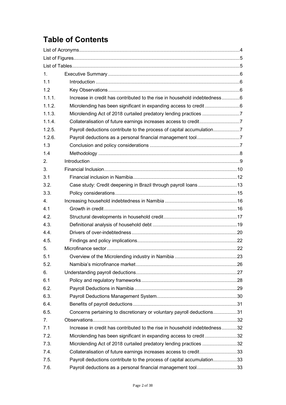## **Table of Contents**

| 1 <sub>1</sub> |                                                                            |  |
|----------------|----------------------------------------------------------------------------|--|
| 1.1            |                                                                            |  |
| 1.2            |                                                                            |  |
| 1.1.1.         | Increase in credit has contributed to the rise in household indebtedness6  |  |
| 1.1.2.         | Microlending has been significant in expanding access to credit 6          |  |
| 1.1.3.         | Microlending Act of 2018 curtailed predatory lending practices 7           |  |
| 1.1.4.         | Collateralisation of future earnings increases access to credit7           |  |
| 1.2.5.         | Payroll deductions contribute to the process of capital accumulation7      |  |
| 1.2.6.         |                                                                            |  |
| 1.3            |                                                                            |  |
| 1.4            |                                                                            |  |
| 2.             |                                                                            |  |
| 3.             |                                                                            |  |
| 3.1            |                                                                            |  |
| 3.2.           | Case study: Credit deepening in Brazil through payroll loans13             |  |
| 3.3.           |                                                                            |  |
| 4.             |                                                                            |  |
| 4.1            |                                                                            |  |
| 4.2.           |                                                                            |  |
| 4.3.           |                                                                            |  |
| 4.4.           |                                                                            |  |
| 4.5.           |                                                                            |  |
| 5.             |                                                                            |  |
| 5.1            |                                                                            |  |
| 5.2.           |                                                                            |  |
| 6.             |                                                                            |  |
| 6.1            |                                                                            |  |
| 6.2.           |                                                                            |  |
| 6.3.           |                                                                            |  |
| 6.4.           |                                                                            |  |
| 6.5.           | Concerns pertaining to discretionary or voluntary payroll deductions31     |  |
| 7.             |                                                                            |  |
| 7.1            | Increase in credit has contributed to the rise in household indebtedness32 |  |
| 7.2.           | Microlending has been significant in expanding access to credit32          |  |
| 7.3.           | Microlending Act of 2018 curtailed predatory lending practices 32          |  |
| 7.4.           | Collateralisation of future earnings increases access to credit33          |  |
| 7.5.           | Payroll deductions contribute to the process of capital accumulation33     |  |
| 7.6.           | Payroll deductions as a personal financial management tool33               |  |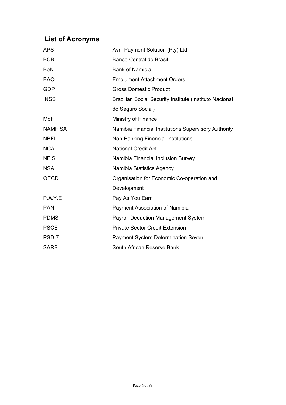## **List of Acronyms**

| <b>APS</b>     | Avril Payment Solution (Pty) Ltd                        |  |
|----------------|---------------------------------------------------------|--|
| <b>BCB</b>     | <b>Banco Central do Brasil</b>                          |  |
| <b>BoN</b>     | <b>Bank of Namibia</b>                                  |  |
| EAO            | <b>Emolument Attachment Orders</b>                      |  |
| <b>GDP</b>     | <b>Gross Domestic Product</b>                           |  |
| <b>INSS</b>    | Brazilian Social Security Institute (Instituto Nacional |  |
|                | do Seguro Social)                                       |  |
| MoF            | Ministry of Finance                                     |  |
| <b>NAMFISA</b> | Namibia Financial Institutions Supervisory Authority    |  |
| <b>NBFI</b>    | Non-Banking Financial Institutions                      |  |
| <b>NCA</b>     | <b>National Credit Act</b>                              |  |
| <b>NFIS</b>    | Namibia Financial Inclusion Survey                      |  |
| <b>NSA</b>     | Namibia Statistics Agency                               |  |
| <b>OECD</b>    | Organisation for Economic Co-operation and              |  |
|                | Development                                             |  |
| P.A.Y.E        | Pay As You Earn                                         |  |
| <b>PAN</b>     | Payment Association of Namibia                          |  |
| <b>PDMS</b>    | <b>Payroll Deduction Management System</b>              |  |
| <b>PSCE</b>    | <b>Private Sector Credit Extension</b>                  |  |
| PSD-7          | <b>Payment System Determination Seven</b>               |  |
| <b>SARB</b>    | South African Reserve Bank                              |  |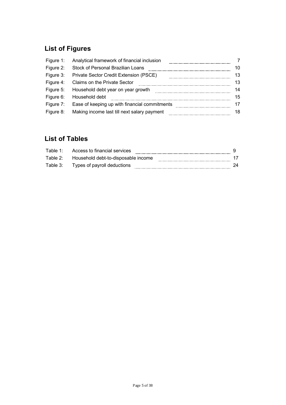## **List of Figures**

|           | Figure 1: Analytical framework of financial inclusion   |    |
|-----------|---------------------------------------------------------|----|
| Figure 2: | Stock of Personal Brazilian Loans                       |    |
| Figure 3: | <b>Private Sector Credit Extension (PSCE)</b>           | 13 |
|           | Figure 4: Claims on the Private Sector                  | 13 |
|           | Figure 5: Household debt year on year growth            | 14 |
| Figure 6: | Household debt                                          | 15 |
|           | Figure 7: Ease of keeping up with financial commitments |    |
| Figure 8: | Making income last till next salary payment             |    |

## **List of Tables**

| Table 1: | Access to financial services        |  |
|----------|-------------------------------------|--|
| Table 2: | Household debt-to-disposable income |  |
| Table 3: | Types of payroll deductions         |  |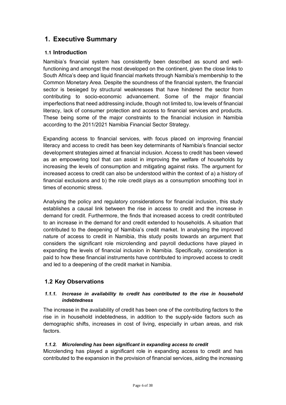## **1. Executive Summary**

#### **1.1 Introduction**

Namibia's financial system has consistently been described as sound and wellfunctioning and amongst the most developed on the continent, given the close links to South Africa's deep and liquid financial markets through Namibia's membership to the Common Monetary Area. Despite the soundness of the financial system, the financial sector is besieged by structural weaknesses that have hindered the sector from contributing to socio-economic advancement. Some of the major financial imperfections that need addressing include, though not limited to, low levels of financial literacy, lack of consumer protection and access to financial services and products. These being some of the major constraints to the financial inclusion in Namibia according to the 2011/2021 Namibia Financial Sector Strategy.

Expanding access to financial services, with focus placed on improving financial literacy and access to credit has been key determinants of Namibia's financial sector development strategies aimed at financial inclusion. Access to credit has been viewed as an empowering tool that can assist in improving the welfare of households by increasing the levels of consumption and mitigating against risks. The argument for increased access to credit can also be understood within the context of a) a history of financial exclusions and b) the role credit plays as a consumption smoothing tool in times of economic stress.

Analysing the policy and regulatory considerations for financial inclusion, this study establishes a causal link between the rise in access to credit and the increase in demand for credit. Furthermore, the finds that increased access to credit contributed to an increase in the demand for and credit extended to households. A situation that contributed to the deepening of Namibia's credit market. In analysing the improved nature of access to credit in Namibia, this study posits towards an argument that considers the significant role microlending and payroll deductions have played in expanding the levels of financial inclusion in Namibia. Specifically, consideration is paid to how these financial instruments have contributed to improved access to credit and led to a deepening of the credit market in Namibia.

#### **1.2 Key Observations**

#### *1.1.1. Increase in availability to credit has contributed to the rise in household indebtedness*

The increase in the availability of credit has been one of the contributing factors to the rise in in household indebtedness, in addition to the supply-side factors such as demographic shifts, increases in cost of living, especially in urban areas, and risk factors.

#### *1.1.2. Microlending has been significant in expanding access to credit*

Microlending has played a significant role in expanding access to credit and has contributed to the expansion in the provision of financial services, aiding the increasing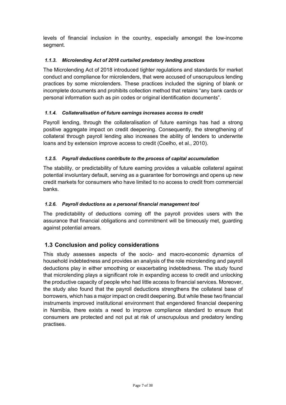levels of financial inclusion in the country, especially amongst the low-income segment.

#### *1.1.3. Microlending Act of 2018 curtailed predatory lending practices*

The Microlending Act of 2018 introduced tighter regulations and standards for market conduct and compliance for microlenders, that were accused of unscrupulous lending practices by some microlenders. These practices included the signing of blank or incomplete documents and prohibits collection method that retains "any bank cards or personal information such as pin codes or original identification documents".

#### *1.1.4. Collateralisation of future earnings increases access to credit*

Payroll lending, through the collateralisation of future earnings has had a strong positive aggregate impact on credit deepening. Consequently, the strengthening of collateral through payroll lending also increases the ability of lenders to underwrite loans and by extension improve access to credit (Coelho, et al., 2010).

#### *1.2.5. Payroll deductions contribute to the process of capital accumulation*

The stability, or predictability of future earning provides a valuable collateral against potential involuntary default, serving as a guarantee for borrowings and opens up new credit markets for consumers who have limited to no access to credit from commercial banks.

#### *1.2.6. Payroll deductions as a personal financial management tool*

The predictability of deductions coming off the payroll provides users with the assurance that financial obligations and commitment will be timeously met, guarding against potential arrears.

#### **1.3 Conclusion and policy considerations**

This study assesses aspects of the socio- and macro-economic dynamics of household indebtedness and provides an analysis of the role microlending and payroll deductions play in either smoothing or exacerbating indebtedness. The study found that microlending plays a significant role in expanding access to credit and unlocking the productive capacity of people who had little access to financial services. Moreover, the study also found that the payroll deductions strengthens the collateral base of borrowers, which has a major impact on credit deepening. But while these two financial instruments improved institutional environment that engendered financial deepening in Namibia, there exists a need to improve compliance standard to ensure that consumers are protected and not put at risk of unscrupulous and predatory lending practises.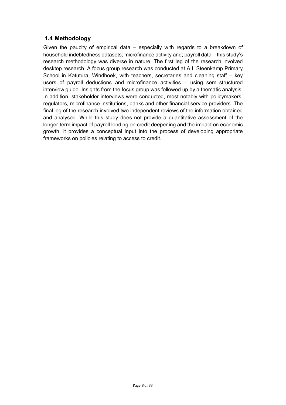#### **1.4 Methodology**

Given the paucity of empirical data – especially with regards to a breakdown of household indebtedness datasets; microfinance activity and; payroll data – this study's research methodology was diverse in nature. The first leg of the research involved desktop research. A focus group research was conducted at A.I. Steenkamp Primary School in Katutura, Windhoek, with teachers, secretaries and cleaning staff – key users of payroll deductions and microfinance activities – using semi-structured interview guide. Insights from the focus group was followed up by a thematic analysis. In addition, stakeholder interviews were conducted, most notably with policymakers, regulators, microfinance institutions, banks and other financial service providers. The final leg of the research involved two independent reviews of the information obtained and analysed. While this study does not provide a quantitative assessment of the longer-term impact of payroll lending on credit deepening and the impact on economic growth, it provides a conceptual input into the process of developing appropriate frameworks on policies relating to access to credit.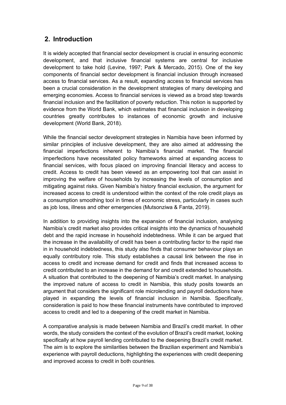## **2. Introduction**

It is widely accepted that financial sector development is crucial in ensuring economic development, and that inclusive financial systems are central for inclusive development to take hold (Levine, 1997; Park & Mercado, 2015). One of the key components of financial sector development is financial inclusion through increased access to financial services. As a result, expanding access to financial services has been a crucial consideration in the development strategies of many developing and emerging economies. Access to financial services is viewed as a broad step towards financial inclusion and the facilitation of poverty reduction. This notion is supported by evidence from the World Bank, which estimates that financial inclusion in developing countries greatly contributes to instances of economic growth and inclusive development (World Bank, 2018).

While the financial sector development strategies in Namibia have been informed by similar principles of inclusive development, they are also aimed at addressing the financial imperfections inherent to Namibia's financial market. The financial imperfections have necessitated policy frameworks aimed at expanding access to financial services, with focus placed on improving financial literacy and access to credit. Access to credit has been viewed as an empowering tool that can assist in improving the welfare of households by increasing the levels of consumption and mitigating against risks. Given Namibia's history financial exclusion, the argument for increased access to credit is understood within the context of the role credit plays as a consumption smoothing tool in times of economic stress, particularly in cases such as job loss, illness and other emergencies (Mutsonziwa & Fanta, 2019).

In addition to providing insights into the expansion of financial inclusion, analysing Namibia's credit market also provides critical insights into the dynamics of household debt and the rapid increase in household indebtedness. While it can be argued that the increase in the availability of credit has been a contributing factor to the rapid rise in in household indebtedness, this study also finds that consumer behaviour plays an equally contributory role. This study establishes a causal link between the rise in access to credit and increase demand for credit and finds that increased access to credit contributed to an increase in the demand for and credit extended to households. A situation that contributed to the deepening of Namibia's credit market. In analysing the improved nature of access to credit in Namibia, this study posits towards an argument that considers the significant role microlending and payroll deductions have played in expanding the levels of financial inclusion in Namibia. Specifically, consideration is paid to how these financial instruments have contributed to improved access to credit and led to a deepening of the credit market in Namibia.

A comparative analysis is made between Namibia and Brazil's credit market. In other words, the study considers the context of the evolution of Brazil's credit market, looking specifically at how payroll lending contributed to the deepening Brazil's credit market. The aim is to explore the similarities between the Brazilian experiment and Namibia's experience with payroll deductions, highlighting the experiences with credit deepening and improved access to credit in both countries.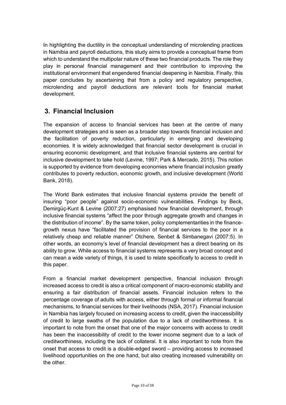In highlighting the ductility in the conceptual understanding of microlending practices in Namibia and payroll deductions, this study aims to provide a conceptual frame from which to understand the multipolar nature of these two financial products. The role they play in personal financial management and their contribution to improving the institutional environment that engendered financial deepening in Namibia. Finally, this paper concludes by ascertaining that from a policy and regulatory perspective, microlending and payroll deductions are relevant tools for financial market development.

## **3. Financial Inclusion**

The expansion of access to financial services has been at the centre of many development strategies and is seen as a broader step towards financial inclusion and the facilitation of poverty reduction, particularly in emerging and developing economies. It is widely acknowledged that financial sector development is crucial in ensuring economic development, and that inclusive financial systems are central for inclusive development to take hold (Levine, 1997; Park & Mercado, 2015). This notion is supported by evidence from developing economies where financial inclusion greatly contributes to poverty reduction, economic growth, and inclusive development (World Bank, 2018).

The World Bank estimates that inclusive financial systems provide the benefit of insuring "poor people" against socio-economic vulnerabilities. Findings by Beck, Demirgüç-Kunt & Levine (2007:27) emphasised how financial development, through inclusive financial systems "affect the poor through aggregate growth and changes in the distribution of income". By the same token, policy complementarities in the financegrowth nexus have "facilitated the provision of financial services to the poor in a relatively cheap and reliable manner" Otchere, Senbet & Simbanegavi (2007:5). In other words, an economy's level of financial development has a direct bearing on its ability to grow. While access to financial systems represents a very broad concept and can mean a wide variety of things, it is used to relate specifically to access to credit in this paper.

From a financial market development perspective, financial inclusion through increased access to credit is also a critical component of macro-economic stability and ensuring a fair distribution of financial assets. Financial inclusion refers to the percentage coverage of adults with access, either through formal or informal financial mechanisms, to financial services for their livelihoods (NSA, 2017). Financial inclusion in Namibia has largely focused on increasing access to credit, given the inaccessibility of credit to large swaths of the population due to a lack of creditworthiness. It is important to note from the onset that one of the major concerns with access to credit has been the inaccessibility of credit to the lower income segment due to a lack of creditworthiness, including the lack of collateral. It is also important to note from the onset that access to credit is a double-edged sword – providing access to increased livelihood opportunities on the one hand, but also creating increased vulnerability on the other.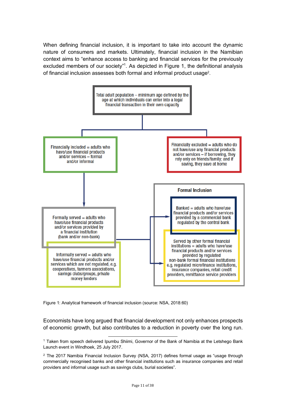When defining financial inclusion, it is important to take into account the dynamic nature of consumers and markets. Ultimately, financial inclusion in the Namibian context aims to "enhance access to banking and financial services for the previously excluded members of our society"<sup>1</sup>. As depicted in Figure 1, the definitional analysis of financial inclusion assesses both formal and informal product usage<sup>2</sup>.



Figure 1: Analytical framework of financial inclusion (source: NSA, 2018:60)

Economists have long argued that financial development not only enhances prospects of economic growth, but also contributes to a reduction in poverty over the long run.

l 1 Taken from speech delivered Ipumbu Shiimi, Governor of the Bank of Namibia at the Letshego Bank Launch event in Windhoek, 25 July 2017.

<sup>&</sup>lt;sup>2</sup> The 2017 Namibia Financial Inclusion Survey (NSA, 2017) defines formal usage as "usage through commercially recognised banks and other financial institutions such as insurance companies and retail providers and informal usage such as savings clubs, burial societies".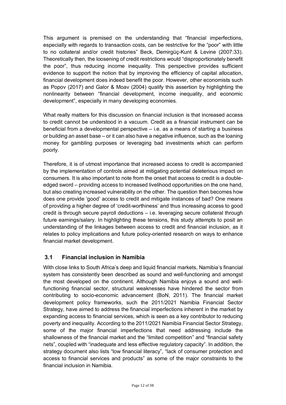This argument is premised on the understanding that "financial imperfections, especially with regards to transaction costs, can be restrictive for the "poor" with little to no collateral and/or credit histories" Beck, Demirgüç-Kunt & Levine (2007:33). Theoretically then, the loosening of credit restrictions would "disproportionately benefit the poor", thus reducing income inequality. This perspective provides sufficient evidence to support the notion that by improving the efficiency of capital allocation, financial development does indeed benefit the poor. However, other economists such as Popov (2017) and Galor & Moav (2004) qualify this assertion by highlighting the nonlinearity between "financial development, income inequality, and economic development", especially in many developing economies.

What really matters for this discussion on financial inclusion is that increased access to credit cannot be understood in a vacuum. Credit as a financial instrument can be beneficial from a developmental perspective – i.e. as a means of starting a business or building an asset base – or it can also have a negative influence, such as the loaning money for gambling purposes or leveraging bad investments which can perform poorly.

Therefore, it is of utmost importance that increased access to credit is accompanied by the implementation of controls aimed at mitigating potential deleterious impact on consumers. It is also important to note from the onset that access to credit is a doubleedged sword – providing access to increased livelihood opportunities on the one hand, but also creating increased vulnerability on the other. The question then becomes how does one provide 'good' access to credit and mitigate instances of bad? One means of providing a higher degree of 'credit-worthiness' and thus increasing access to good credit is through secure payroll deductions – i.e. leveraging secure collateral through future earnings/salary. In highlighting these tensions, this study attempts to posit an understanding of the linkages between access to credit and financial inclusion, as it relates to policy implications and future policy-oriented research on ways to enhance financial market development.

#### **3.1 Financial inclusion in Namibia**

With close links to South Africa's deep and liquid financial markets, Namibia's financial system has consistently been described as sound and well-functioning and amongst the most developed on the continent. Although Namibia enjoys a sound and wellfunctioning financial sector, structural weaknesses have hindered the sector from contributing to socio-economic advancement (BoN, 2011). The financial market development policy frameworks, such the 2011/2021 Namibia Financial Sector Strategy, have aimed to address the financial imperfections inherent in the market by expanding access to financial services, which is seen as a key contributor to reducing poverty and inequality. According to the 2011/2021 Namibia Financial Sector Strategy, some of the major financial imperfections that need addressing include the shallowness of the financial market and the "limited competition" and "financial safety nets", coupled with "inadequate and less effective regulatory capacity". In addition, the strategy document also lists "low financial literacy", "lack of consumer protection and access to financial services and products" as some of the major constraints to the financial inclusion in Namibia.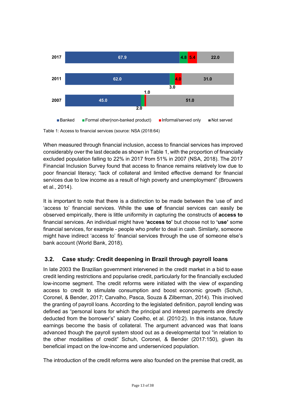

Table 1: Access to financial services (source: NSA (2018:64)

When measured through financial inclusion, access to financial services has improved considerably over the last decade as shown in Table 1, with the proportion of financially excluded population falling to 22% in 2017 from 51% in 2007 (NSA, 2018). The 2017 Financial Inclusion Survey found that access to finance remains relatively low due to poor financial literacy; "lack of collateral and limited effective demand for financial services due to low income as a result of high poverty and unemployment" (Brouwers et al., 2014).

It is important to note that there is a distinction to be made between the 'use of' and 'access to' financial services. While the **use of** financial services can easily be observed empirically, there is little uniformity in capturing the constructs of **access to** financial services. An individual might have **'access to'** but choose not to **'use'** some financial services, for example - people who prefer to deal in cash. Similarly, someone might have indirect 'access to' financial services through the use of someone else's bank account (World Bank, 2018).

### **3.2. Case study: Credit deepening in Brazil through payroll loans**

In late 2003 the Brazilian government intervened in the credit market in a bid to ease credit lending restrictions and popularise credit, particularly for the financially excluded low-income segment. The credit reforms were initiated with the view of expanding access to credit to stimulate consumption and boost economic growth (Schuh, Coronel, & Bender, 2017; Carvalho, Pasca, Souza & Zilberman, 2014). This involved the granting of payroll loans. According to the legislated definition, payroll lending was defined as "personal loans for which the principal and interest payments are directly deducted from the borrower's" salary Coelho, et al. (2010:2). In this instance, future earnings become the basis of collateral. The argument advanced was that loans advanced though the payroll system stood out as a developmental tool "in relation to the other modalities of credit" Schuh, Coronel, & Bender (2017:150), given its beneficial impact on the low-income and underserviced population.

The introduction of the credit reforms were also founded on the premise that credit, as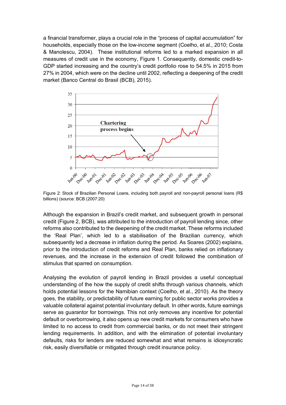a financial transformer, plays a crucial role in the "process of capital accumulation" for households, especially those on the low-income segment (Coelho, et al., 2010; Costa & Manolescu, 2004). These institutional reforms led to a marked expansion in all measures of credit use in the economy, Figure 1. Consequently, domestic credit-to-GDP started increasing and the country's credit portfolio rose to 54.5% in 2015 from 27% in 2004, which were on the decline until 2002, reflecting a deepening of the credit market (Banco Central do Brasil (BCB), 2015).



Figure 2: Stock of Brazilian Personal Loans, including both payroll and non-payroll personal loans (R\$ billions) (source: BCB (2007:20)

Although the expansion in Brazil's credit market, and subsequent growth in personal credit (Figure 2, BCB), was attributed to the introduction of payroll lending since, other reforms also contributed to the deepening of the credit market. These reforms included the 'Real Plan', which led to a stabilisation of the Brazilian currency, which subsequently led a decrease in inflation during the period. As Soares (2002) explains, prior to the introduction of credit reforms and Real Plan, banks relied on inflationary revenues, and the increase in the extension of credit followed the combination of stimulus that sparred on consumption.

Analysing the evolution of payroll lending in Brazil provides a useful conceptual understanding of the how the supply of credit shifts through various channels, which holds potential lessons for the Namibian context (Coelho, et al., 2010). As the theory goes, the stability, or predictability of future earning for public sector works provides a valuable collateral against potential involuntary default. In other words, future earnings serve as guarantor for borrowings. This not only removes any incentive for potential default or overborrowing, it also opens up new credit markets for consumers who have limited to no access to credit from commercial banks, or do not meet their stringent lending requirements. In addition, and with the elimination of potential involuntary defaults, risks for lenders are reduced somewhat and what remains is idiosyncratic risk, easily diversifiable or mitigated through credit insurance policy.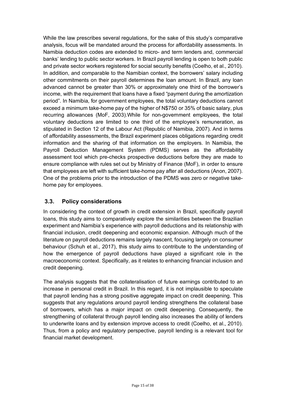While the law prescribes several regulations, for the sake of this study's comparative analysis, focus will be mandated around the process for affordability assessments. In Namibia deduction codes are extended to micro- and term lenders and, commercial banks' lending to public sector workers. In Brazil payroll lending is open to both public and private sector workers registered for social security benefits (Coelho, et al., 2010). In addition, and comparable to the Namibian context, the borrowers' salary including other commitments on their payroll determines the loan amount. In Brazil, any loan advanced cannot be greater than 30% or approximately one third of the borrower's income, with the requirement that loans have a fixed "payment during the amortization period". In Namibia, for government employees, the total voluntary deductions cannot exceed a minimum take-home pay of the higher of N\$750 or 35% of basic salary, plus recurring allowances (MoF, 2003).While for non-government employees, the total voluntary deductions are limited to one third of the employee's remuneration, as stipulated in Section 12 of the Labour Act (Republic of Namibia, 2007). And in terms of affordability assessments, the Brazil experiment places obligations regarding credit information and the sharing of that information on the employers. In Namibia, the Payroll Deduction Management System (PDMS) serves as the affordability assessment tool which pre-checks prospective deductions before they are made to ensure compliance with rules set out by Ministry of Finance (MoF), in order to ensure that employees are left with sufficient take-home pay after all deductions (Anon, 2007). One of the problems prior to the introduction of the PDMS was zero or negative takehome pay for employees.

#### **3.3. Policy considerations**

In considering the context of growth in credit extension in Brazil, specifically payroll loans, this study aims to comparatively explore the similarities between the Brazilian experiment and Namibia's experience with payroll deductions and its relationship with financial inclusion, credit deepening and economic expansion. Although much of the literature on payroll deductions remains largely nascent, focusing largely on consumer behaviour (Schuh et al., 2017), this study aims to contribute to the understanding of how the emergence of payroll deductions have played a significant role in the macroeconomic context. Specifically, as it relates to enhancing financial inclusion and credit deepening.

The analysis suggests that the collateralisation of future earnings contributed to an increase in personal credit in Brazil. In this regard, it is not implausible to speculate that payroll lending has a strong positive aggregate impact on credit deepening. This suggests that any regulations around payroll lending strengthens the collateral base of borrowers, which has a major impact on credit deepening. Consequently, the strengthening of collateral through payroll lending also increases the ability of lenders to underwrite loans and by extension improve access to credit (Coelho, et al., 2010). Thus, from a policy and regulatory perspective, payroll lending is a relevant tool for financial market development.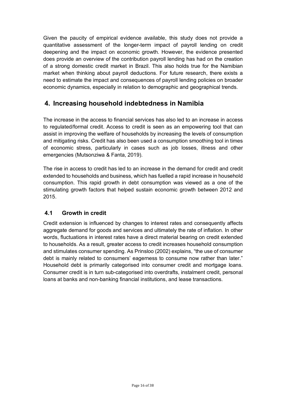Given the paucity of empirical evidence available, this study does not provide a quantitative assessment of the longer-term impact of payroll lending on credit deepening and the impact on economic growth. However, the evidence presented does provide an overview of the contribution payroll lending has had on the creation of a strong domestic credit market in Brazil. This also holds true for the Namibian market when thinking about payroll deductions. For future research, there exists a need to estimate the impact and consequences of payroll lending policies on broader economic dynamics, especially in relation to demographic and geographical trends.

## **4. Increasing household indebtedness in Namibia**

The increase in the access to financial services has also led to an increase in access to regulated/formal credit. Access to credit is seen as an empowering tool that can assist in improving the welfare of households by increasing the levels of consumption and mitigating risks. Credit has also been used a consumption smoothing tool in times of economic stress, particularly in cases such as job losses, illness and other emergencies (Mutsonziwa & Fanta, 2019).

The rise in access to credit has led to an increase in the demand for credit and credit extended to households and business, which has fuelled a rapid increase in household consumption. This rapid growth in debt consumption was viewed as a one of the stimulating growth factors that helped sustain economic growth between 2012 and 2015.

#### **4.1 Growth in credit**

Credit extension is influenced by changes to interest rates and consequently affects aggregate demand for goods and services and ultimately the rate of inflation. In other words, fluctuations in interest rates have a direct material bearing on credit extended to households. As a result, greater access to credit increases household consumption and stimulates consumer spending. As Prinsloo (2002) explains, "the use of consumer debt is mainly related to consumers' eagerness to consume now rather than later." Household debt is primarily categorised into consumer credit and mortgage loans. Consumer credit is in turn sub-categorised into overdrafts, instalment credit, personal loans at banks and non-banking financial institutions, and lease transactions.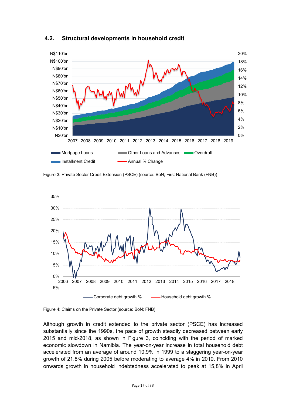

#### **4.2. Structural developments in household credit**

Figure 3: Private Sector Credit Extension (PSCE) (source: BoN; First National Bank (FNB))



Figure 4: Claims on the Private Sector (source: BoN; FNB)

Although growth in credit extended to the private sector (PSCE) has increased substantially since the 1990s, the pace of growth steadily decreased between early 2015 and mid-2018, as shown in Figure 3, coinciding with the period of marked economic slowdown in Namibia. The year-on-year increase in total household debt accelerated from an average of around 10.9% in 1999 to a staggering year-on-year growth of 21.8% during 2005 before moderating to average 4% in 2010. From 2010 onwards growth in household indebtedness accelerated to peak at 15,8% in April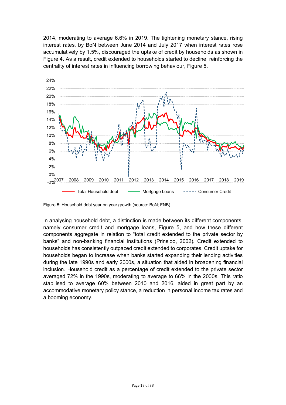2014, moderating to average 6.6% in 2019. The tightening monetary stance, rising interest rates, by BoN between June 2014 and July 2017 when interest rates rose accumulatively by 1.5%, discouraged the uptake of credit by households as shown in Figure 4. As a result, credit extended to households started to decline, reinforcing the centrality of interest rates in influencing borrowing behaviour, Figure 5.



Figure 5: Household debt year on year growth (source: BoN; FNB)

In analysing household debt, a distinction is made between its different components, namely consumer credit and mortgage loans, Figure 5, and how these different components aggregate in relation to "total credit extended to the private sector by banks" and non-banking financial institutions (Prinsloo, 2002). Credit extended to households has consistently outpaced credit extended to corporates. Credit uptake for households began to increase when banks started expanding their lending activities during the late 1990s and early 2000s, a situation that aided in broadening financial inclusion. Household credit as a percentage of credit extended to the private sector averaged 72% in the 1990s, moderating to average to 66% in the 2000s. This ratio stabilised to average 60% between 2010 and 2016, aided in great part by an accommodative monetary policy stance, a reduction in personal income tax rates and a booming economy.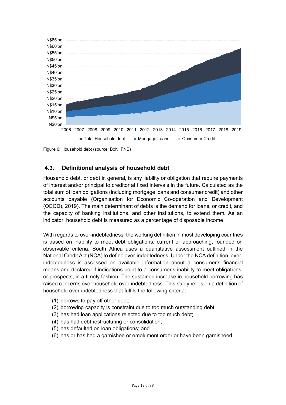

Figure 6: Household debt (source: BoN; FNB)

#### **4.3. Definitional analysis of household debt**

Household debt, or debt in general, is any liability or obligation that require payments of interest and/or principal to creditor at fixed intervals in the future. Calculated as the total sum of loan obligations (including mortgage loans and consumer credit) and other accounts payable (Organisation for Economic Co-operation and Development (OECD), 2019). The main determinant of debts is the demand for loans, or credit, and the capacity of banking institutions, and other institutions, to extend them. As an indicator, household debt is measured as a percentage of disposable income.

With regards to over-indebtedness, the working definition in most developing countries is based on inability to meet debt obligations, current or approaching, founded on observable criteria. South Africa uses a quantitative assessment outlined in the National Credit Act (NCA) to define over-indebtedness. Under the NCA definition, overindebtedness is assessed on available information about a consumer's financial means and declared if indications point to a consumer's inability to meet obligations, or prospects, in a timely fashion. The sustained increase in household borrowing has raised concerns over household over-indebtedness. This study relies on a definition of household over-indebtedness that fulfils the following criteria:

- (1) borrows to pay off other debt;
- (2) borrowing capacity is constraint due to too much outstanding debt;
- (3) has had loan applications rejected due to too much debt;
- (4) has had debt restructuring or consolidation;
- (5) has defaulted on loan obligations; and
- (6) has or has had a garnishee or emolument order or have been garnisheed.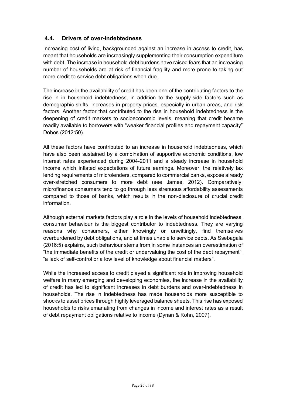#### **4.4. Drivers of over-indebtedness**

Increasing cost of living, backgrounded against an increase in access to credit, has meant that households are increasingly supplementing their consumption expenditure with debt. The increase in household debt burdens have raised fears that an increasing number of households are at risk of financial fragility and more prone to taking out more credit to service debt obligations when due.

The increase in the availability of credit has been one of the contributing factors to the rise in in household indebtedness, in addition to the supply-side factors such as demographic shifts, increases in property prices, especially in urban areas, and risk factors. Another factor that contributed to the rise in household indebtedness is the deepening of credit markets to socioeconomic levels, meaning that credit became readily available to borrowers with "weaker financial profiles and repayment capacity" Dobos (2012:50).

All these factors have contributed to an increase in household indebtedness, which have also been sustained by a combination of supportive economic conditions, low interest rates experienced during 2004-2011 and a steady increase in household income which inflated expectations of future earnings. Moreover, the relatively lax lending requirements of microlenders, compared to commercial banks, expose already over-stretched consumers to more debt (see James, 2012). Comparatively, microfinance consumers tend to go through less strenuous affordability assessments compared to those of banks, which results in the non-disclosure of crucial credit information.

Although external markets factors play a role in the levels of household indebtedness, consumer behaviour is the biggest contributor to indebtedness. They are varying reasons why consumers, either knowingly or unwittingly, find themselves overburdened by debt obligations, and at times unable to service debts. As Ssebagala (2016:5) explains, such behaviour stems from in some instances an overestimation of "the immediate benefits of the credit or undervaluing the cost of the debt repayment", "a lack of self-control or a low level of knowledge about financial matters".

While the increased access to credit played a significant role in improving household welfare in many emerging and developing economies, the increase in the availability of credit has led to significant increases in debt burdens and over-indebtedness in households. The rise in indebtedness has made households more susceptible to shocks to asset prices through highly leveraged balance sheets. This rise has exposed households to risks emanating from changes in income and interest rates as a result of debt repayment obligations relative to income (Dynan & Kohn, 2007).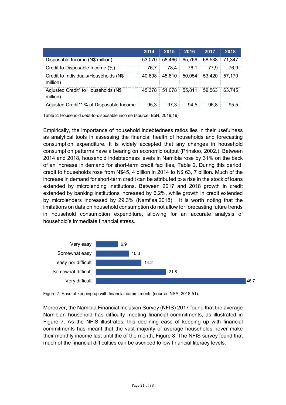|                                                   | 2014   | 2015          | 2016   | 2017   | 2018   |
|---------------------------------------------------|--------|---------------|--------|--------|--------|
| Disposable Income (N\$ million)                   | 53,070 | 58.466        | 65,766 | 68,538 | 71.347 |
| Credit to Disposable Income (%)                   | 76.7   | 78.4          | 76.1   | 77.9   | 76.9   |
| Credit to Individuals/Households (N\$<br>million) | 40.698 | 45.810        | 50.054 | 53.420 | 57.170 |
| Adjusted Credit* to Households (N\$<br>million)   | 45.378 | 51,078 55,811 |        | 59.563 | 63.745 |
| Adjusted Credit** % of Disposable Income          | 95.3   | 97.3          | 94.5   | 96.8   | 95.5   |

Table 2: Household debt-to-disposable income (source: BoN, 2019:19)

Empirically, the importance of household indebtedness ratios lies in their usefulness as analytical tools in assessing the financial health of households and forecasting consumption expenditure. It is widely accepted that any changes in household consumption patterns have a bearing on economic output (Prinsloo, 2002.). Between 2014 and 2018, household indebtedness levels in Namibia rose by 31% on the back of an increase in demand for short-term credit facilities, Table 2. During this period, credit to households rose from N\$45, 4 billion in 2014 to N\$ 63, 7 billion. Much of the increase in demand for short-term credit can be attributed to a rise in the stock of loans extended by microlending institutions. Between 2017 and 2018 growth in credit extended by banking institutions increased by 6,2%, while growth in credit extended by microlenders increased by 29,3% (Namfisa,2018). It is worth noting that the limitations on data on household consumption do not allow for forecasting future trends in household consumption expenditure, allowing for an accurate analysis of household's immediate financial stress.



Figure 7: Ease of keeping up with financial commitments (source: NSA, 2018:51).

Moreover, the Namibia Financial Inclusion Survey (NFIS) 2017 found that the average Namibian household has difficulty meeting financial commitments, as illustrated in Figure 7. As the NFIS illustrates, this declining ease of keeping up with financial commitments has meant that the vast majority of average households never make their monthly income last until the of the month, Figure 8. The NFIS survey found that much of the financial difficulties can be ascribed to low financial literacy levels.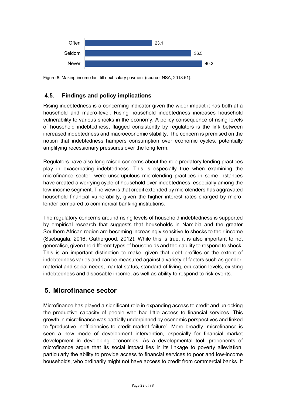

Figure 8: Making income last till next salary payment (source: NSA, 2018:51).

#### **4.5. Findings and policy implications**

Rising indebtedness is a concerning indicator given the wider impact it has both at a household and macro-level. Rising household indebtedness increases household vulnerability to various shocks in the economy. A policy consequence of rising levels of household indebtedness, flagged consistently by regulators is the link between increased indebtedness and macroeconomic stability. The concern is premised on the notion that indebtedness hampers consumption over economic cycles, potentially amplifying recessionary pressures over the long term.

Regulators have also long raised concerns about the role predatory lending practices play in exacerbating indebtedness. This is especially true when examining the microfinance sector, were unscrupulous microlending practices in some instances have created a worrying cycle of household over-indebtedness, especially among the low-income segment. The view is that credit extended by microlenders has aggravated household financial vulnerability, given the higher interest rates charged by microlender compared to commercial banking institutions.

The regulatory concerns around rising levels of household indebtedness is supported by empirical research that suggests that households in Namibia and the greater Southern African region are becoming increasingly sensitive to shocks to their income (Ssebagala, 2016; Gathergood, 2012). While this is true, it is also important to not generalise, given the different types of households and their ability to respond to shock. This is an important distinction to make, given that debt profiles or the extent of indebtedness varies and can be measured against a variety of factors such as gender, material and social needs, marital status, standard of living, education levels, existing indebtedness and disposable income, as well as ability to respond to risk events.

### **5. Microfinance sector**

Microfinance has played a significant role in expanding access to credit and unlocking the productive capacity of people who had little access to financial services. This growth in microfinance was partially underpinned by economic perspectives and linked to "productive inefficiencies to credit market failure". More broadly, microfinance is seen a new mode of development intervention, especially for financial market development in developing economies. As a developmental tool, proponents of microfinance argue that its social impact lies in its linkage to poverty alleviation, particularly the ability to provide access to financial services to poor and low-income households, who ordinarily might not have access to credit from commercial banks. It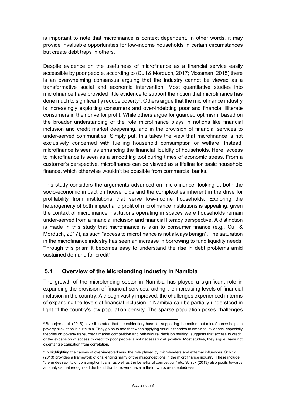is important to note that microfinance is context dependent. In other words, it may provide invaluable opportunities for low-income households in certain circumstances but create debt traps in others.

Despite evidence on the usefulness of microfinance as a financial service easily accessible by poor people, according to (Cull & Morduch, 2017; Mossman, 2015) there is an overwhelming consensus arguing that the industry cannot be viewed as a transformative social and economic intervention. Most quantitative studies into microfinance have provided little evidence to support the notion that microfinance has done much to significantly reduce poverty<sup>3</sup>. Others argue that the microfinance industry is increasingly exploiting consumers and over-indebting poor and financial illiterate consumers in their drive for profit. While others argue for guarded optimism, based on the broader understanding of the role microfinance plays in notions like financial inclusion and credit market deepening, and in the provision of financial services to under-served communities. Simply put, this takes the view that microfinance is not exclusively concerned with fuelling household consumption or welfare. Instead, microfinance is seen as enhancing the financial liquidity of households. Here, access to microfinance is seen as a smoothing tool during times of economic stress. From a customer's perspective, microfinance can be viewed as a lifeline for basic household finance, which otherwise wouldn't be possible from commercial banks.

This study considers the arguments advanced on microfinance, looking at both the socio-economic impact on households and the complexities inherent in the drive for profitability from institutions that serve low-income households. Exploring the heterogeneity of both impact and profit of microfinance institutions is appealing, given the context of microfinance institutions operating in spaces were households remain under-served from a financial inclusion and financial literacy perspective. A distinction is made in this study that microfinance is akin to consumer finance (e.g., Cull & Morduch, 2017), as such "access to microfinance is not always benign". The saturation in the microfinance industry has seen an increase in borrowing to fund liquidity needs. Through this prism it becomes easy to understand the rise in debt problems amid sustained demand for credit<sup>4</sup>.

#### **5.1 Overview of the Microlending industry in Namibia**

-

The growth of the microlending sector in Namibia has played a significant role in expanding the provision of financial services, aiding the increasing levels of financial inclusion in the country. Although vastly improved, the challenges experienced in terms of expanding the levels of financial inclusion in Namibia can be partially understood in light of the country's low population density. The sparse population poses challenges

<sup>&</sup>lt;sup>3</sup> Banarjee et al. (2015) have illustrated that the evidentiary base for supporting the notion that microfinance helps in poverty alleviation is quite thin. They go on to add that when applying various theories to empirical evidence, especially theories on poverty traps, credit market competition and behavioural decision making, suggests that access to credit, or the expansion of access to credit to poor people is not necessarily all positive. Most studies, they argue, have not disentangle causation from correlation.

<sup>4</sup> In highlighting the causes of over-indebtedness, the role played by microlenders and external influences, Schick (2013) provides a framework of challenging many of the misconceptions in the microfinance industry. These include "the undesirability of consumption loans, as well as the benefits of competition" etc. Schick (2013) also posits towards an analysis that recognised the hand that borrowers have in their own over-indebtedness.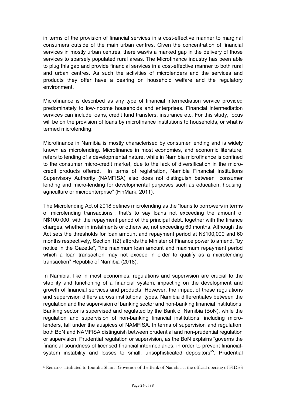in terms of the provision of financial services in a cost-effective manner to marginal consumers outside of the main urban centres. Given the concentration of financial services in mostly urban centres, there was/is a marked gap in the delivery of those services to sparsely populated rural areas. The Microfinance industry has been able to plug this gap and provide financial services in a cost-effective manner to both rural and urban centres. As such the activities of microlenders and the services and products they offer have a bearing on household welfare and the regulatory environment.

Microfinance is described as any type of financial intermediation service provided predominately to low-income households and enterprises. Financial intermediation services can include loans, credit fund transfers, insurance etc. For this study, focus will be on the provision of loans by microfinance institutions to households, or what is termed microlending.

Microfinance in Namibia is mostly characterised by consumer lending and is widely known as microlending. Microfinance in most economies, and economic literature, refers to lending of a developmental nature, while in Namibia microfinance is confined to the consumer micro-credit market, due to the lack of diversification in the microcredit products offered. In terms of registration, Namibia Financial Institutions Supervisory Authority (NAMFISA) also does not distinguish between "consumer lending and micro-lending for developmental purposes such as education, housing, agriculture or microenterprise" (FinMark, 2011).

The Microlending Act of 2018 defines microlending as the "loans to borrowers in terms of microlending transactions", that's to say loans not exceeding the amount of N\$100 000, with the repayment period of the principal debt, together with the finance charges, whether in instalments or otherwise, not exceeding 60 months. Although the Act sets the thresholds for loan amount and repayment period at N\$100,000 and 60 months respectively, Section 1(2) affords the Minister of Finance power to amend, "by notice in the Gazette", "the maximum loan amount and maximum repayment period which a loan transaction may not exceed in order to qualify as a microlending transaction" Republic of Namibia (2018).

In Namibia, like in most economies, regulations and supervision are crucial to the stability and functioning of a financial system, impacting on the development and growth of financial services and products. However, the impact of these regulations and supervision differs across institutional types. Namibia differentiates between the regulation and the supervision of banking sector and non-banking financial institutions. Banking sector is supervised and regulated by the Bank of Namibia (BoN), while the regulation and supervision of non-banking financial institutions, including microlenders, fall under the auspices of NAMFISA. In terms of supervision and regulation, both BoN and NAMFISA distinguish between prudential and non-prudential regulation or supervision. Prudential regulation or supervision, as the BoN explains "governs the financial soundness of licensed financial intermediaries, in order to prevent financialsystem instability and losses to small, unsophisticated depositors"<sup>5</sup>. Prudential

-

<sup>5</sup> Remarks attributed to Ipumbu Shiimi, Governor of the Bank of Namibia at the official opening of FIDES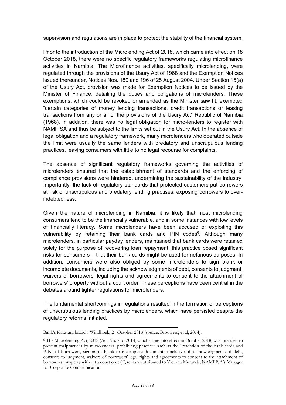supervision and regulations are in place to protect the stability of the financial system.

Prior to the introduction of the Microlending Act of 2018, which came into effect on 18 October 2018, there were no specific regulatory frameworks regulating microfinance activities in Namibia. The Microfinance activities, specifically microlending, were regulated through the provisions of the Usury Act of 1968 and the Exemption Notices issued thereunder, Notices Nos. 189 and 196 of 25 August 2004. Under Section 15(a) of the Usury Act, provision was made for Exemption Notices to be issued by the Minister of Finance, detailing the duties and obligations of microlenders. These exemptions, which could be revoked or amended as the Minister saw fit, exempted "certain categories of money lending transactions, credit transactions or leasing transactions from any or all of the provisions of the Usury Act" Republic of Namibia (1968). In addition, there was no legal obligation for micro-lenders to register with NAMFISA and thus be subject to the limits set out in the Usury Act. In the absence of legal obligation and a regulatory framework, many microlenders who operated outside the limit were usually the same lenders with predatory and unscrupulous lending practices, leaving consumers with little to no legal recourse for complaints.

The absence of significant regulatory frameworks governing the activities of microlenders ensured that the establishment of standards and the enforcing of compliance provisions were hindered, undermining the sustainability of the industry. Importantly, the lack of regulatory standards that protected customers put borrowers at risk of unscrupulous and predatory lending practises, exposing borrowers to overindebtedness.

Given the nature of microlending in Namibia, it is likely that most microlending consumers tend to be the financially vulnerable, and in some instances with low levels of financially literacy. Some microlenders have been accused of exploiting this vulnerability by retaining their bank cards and PIN codes<sup>6</sup>. Although many microlenders, in particular payday lenders, maintained that bank cards were retained solely for the purpose of recovering loan repayment, this practice posed significant risks for consumers – that their bank cards might be used for nefarious purposes. In addition, consumers were also obliged by some microlenders to sign blank or incomplete documents, including the acknowledgments of debt, consents to judgment, waivers of borrowers' legal rights and agreements to consent to the attachment of borrowers' property without a court order. These perceptions have been central in the debates around tighter regulations for microlenders.

The fundamental shortcomings in regulations resulted in the formation of perceptions of unscrupulous lending practices by microlenders, which have persisted despite the regulatory reforms initiated.

l Bank's Katutura branch, Windhoek, 24 October 2013 (source: Brouwers, et al, 2014).

<sup>6</sup> The Microlending Act, 2018 (Act No. 7 of 2018, which came into effect in October 2018, was intended to prevent malpractices by microlenders, prohibiting practices such as the "retention of the bank cards and PINs of borrowers, signing of blank or incomplete documents (inclusive of acknowledgments of debt, consents to judgment, waivers of borrowers' legal rights and agreements to consent to the attachment of borrowers' property without a court order)", remarks attributed to Victoria Muranda, NAMFISA's Manager for Corporate Communication.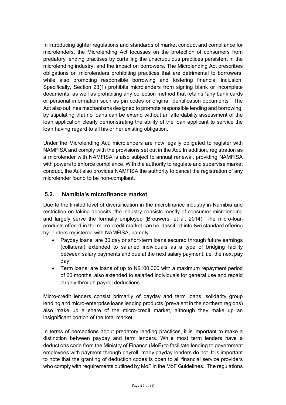In introducing tighter regulations and standards of market conduct and compliance for microlenders, the Microlending Act focusses on the protection of consumers from predatory lending practises by curtailing the unscrupulous practices persistent in the microlending industry, and the impact on borrowers. The Microlending Act prescribes obligations on microlenders prohibiting practices that are detrimental to borrowers, while also promoting responsible borrowing and fostering financial inclusion. Specifically, Section 23(1) prohibits microlenders from signing blank or incomplete documents, as well as prohibiting any collection method that retains "any bank cards or personal information such as pin codes or original identification documents". The Act also outlines mechanisms designed to promote responsible lending and borrowing, by stipulating that no loans can be extend without an affordability assessment of the loan application clearly demonstrating the ability of the loan applicant to service the loan having regard to all his or her existing obligation.

Under the Microlending Act, microlenders are now legally obligated to register with NAMFISA and comply with the provisions set out in the Act. In addition, registration as a microlender with NAMFISA is also subject to annual renewal, providing NAMFISA with powers to enforce compliance. With the authority to regulate and supervise market conduct, the Act also provides NAMFISA the authority to cancel the registration of any microlender found to be non-compliant.

#### **5.2. Namibia's microfinance market**

Due to the limited level of diversification in the microfinance industry in Namibia and restriction on taking deposits, the industry consists mostly of consumer microlending and largely serve the formally employed (Brouwers, et al, 2014). The micro-loan products offered in the micro-credit market can be classified into two standard offering by lenders registered with NAMFISA, namely:

- Payday loans: are 30 day or short-term loans secured through future earnings (collateral) extended to salaried individuals as a type of bridging facility between salary payments and due at the next salary payment, i.e. the next pay day.
- Term loans: are loans of up to N\$100,000 with a maximum repayment period of 60 months, also extended to salaried individuals for general use and repaid largely through payroll deductions.

Micro-credit lenders consist primarily of payday and term loans, solidarity group lending and micro-enterprise loans lending products (prevalent in the northern regions) also make up a share of the micro-credit market, although they make up an insignificant portion of the total market.

In terms of perceptions about predatory lending practices, it is important to make a distinction between payday and term lenders. While most term lenders have a deductions code from the Ministry of Finance (MoF) to facilitate lending to government employees with payment through payroll, many payday lenders do not. It is important to note that the granting of deduction codes is open to all financial service providers who comply with requirements outlined by MoF in the MoF Guidelines. The regulations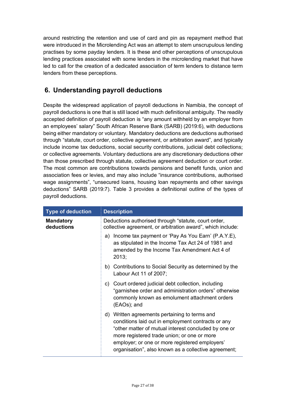around restricting the retention and use of card and pin as repayment method that were introduced in the Microlending Act was an attempt to stem unscrupulous lending practises by some payday lenders. It is these and other perceptions of unscrupulous lending practices associated with some lenders in the microlending market that have led to call for the creation of a dedicated association of term lenders to distance term lenders from these perceptions.

## **6. Understanding payroll deductions**

Despite the widespread application of payroll deductions in Namibia, the concept of payroll deductions is one that is still laced with much definitional ambiguity. The readily accepted definition of payroll deduction is "any amount withheld by an employer from an employees' salary" South African Reserve Bank (SARB) (2019:6), with deductions being either mandatory or voluntary. Mandatory deductions are deductions authorised through "statute, court order, collective agreement, or arbitration award", and typically include income tax deductions, social security contributions, judicial debt collections; or collective agreements. Voluntary deductions are any discretionary deductions other than those prescribed through statute, collective agreement deduction or court order. The most common are contributions towards pensions and benefit funds, union and association fees or levies, and may also include "insurance contributions, authorised wage assignments", "unsecured loans, housing loan repayments and other savings deductions" SARB (2019:7). Table 3 provides a definitional outline of the types of payroll deductions.

| <b>Type of deduction</b>       | <b>Description</b>                                                                                                                                                                                                                                                                                                   |
|--------------------------------|----------------------------------------------------------------------------------------------------------------------------------------------------------------------------------------------------------------------------------------------------------------------------------------------------------------------|
| <b>Mandatory</b><br>deductions | Deductions authorised through "statute, court order,<br>collective agreement, or arbitration award", which include:                                                                                                                                                                                                  |
|                                | Income tax payment or 'Pay As You Earn' (P.A.Y.E),<br>a)<br>as stipulated in the Income Tax Act 24 of 1981 and<br>amended by the Income Tax Amendment Act 4 of<br>2013;                                                                                                                                              |
|                                | b) Contributions to Social Security as determined by the<br>Labour Act 11 of 2007;                                                                                                                                                                                                                                   |
|                                | Court ordered judicial debt collection, including<br>C)<br>"garnishee order and administration orders" otherwise<br>commonly known as emolument attachment orders<br>(EAOs); and                                                                                                                                     |
|                                | d) Written agreements pertaining to terms and<br>conditions laid out in employment contracts or any<br>"other matter of mutual interest concluded by one or<br>more registered trade union; or one or more<br>employer; or one or more registered employers'<br>organisation", also known as a collective agreement; |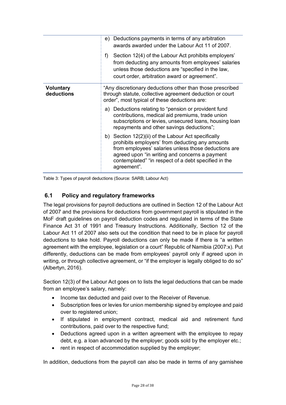|                                | Deductions payments in terms of any arbitration<br>e)<br>awards awarded under the Labour Act 11 of 2007.<br>f)<br>Section 12(4) of the Labour Act prohibits employers'<br>from deducting any amounts from employees' salaries<br>unless those deductions are "specified in the law,<br>court order, arbitration award or agreement".                                                      |
|--------------------------------|-------------------------------------------------------------------------------------------------------------------------------------------------------------------------------------------------------------------------------------------------------------------------------------------------------------------------------------------------------------------------------------------|
| <b>Voluntary</b><br>deductions | "Any discretionary deductions other than those prescribed<br>through statute, collective agreement deduction or court<br>order", most typical of these deductions are:<br>a) Deductions relating to "pension or provident fund<br>contributions, medical aid premiums, trade union<br>subscriptions or levies, unsecured loans, housing loan<br>repayments and other savings deductions"; |
|                                | b) Section 12(2)(ii) of the Labour Act specifically<br>prohibits employers' from deducting any amounts<br>from employees' salaries unless those deductions are<br>agreed upon "in writing and concerns a payment<br>contemplated" "in respect of a debt specified in the<br>agreement".                                                                                                   |

Table 3: Types of payroll deductions (Source: SARB; Labour Act)

#### **6.1 Policy and regulatory frameworks**

The legal provisions for payroll deductions are outlined in Section 12 of the Labour Act of 2007 and the provisions for deductions from government payroll is stipulated in the MoF draft guidelines on payroll deduction codes and regulated in terms of the State Finance Act 31 of 1991 and Treasury Instructions. Additionally, Section 12 of the Labour Act 11 of 2007 also sets out the condition that need to be in place for payroll deductions to take hold. Payroll deductions can only be made if there is "a written agreement with the employee, legislation or a court" Republic of Namibia (2007:x). Put differently, deductions can be made from employees' payroll only if agreed upon in writing, or through collective agreement, or "if the employer is legally obliged to do so" (Albertyn, 2016).

Section 12(3) of the Labour Act goes on to lists the legal deductions that can be made from an employee's salary, namely:

- Income tax deducted and paid over to the Receiver of Revenue.
- Subscription fees or levies for union membership signed by employee and paid over to registered union;
- If stipulated in employment contract, medical aid and retirement fund contributions, paid over to the respective fund;
- Deductions agreed upon in a written agreement with the employee to repay debt, e.g. a loan advanced by the employer; goods sold by the employer etc.;
- rent in respect of accommodation supplied by the employer;

In addition, deductions from the payroll can also be made in terms of any garnishee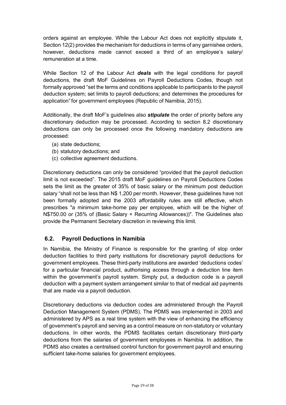orders against an employee. While the Labour Act does not explicitly stipulate it, Section 12(2) provides the mechanism for deductions in terms of any garnishee orders, however, deductions made cannot exceed a third of an employee's salary/ remuneration at a time.

While Section 12 of the Labour Act *deals* with the legal conditions for payroll deductions, the draft MoF Guidelines on Payroll Deductions Codes, though not formally approved "set the terms and conditions applicable to participants to the payroll deduction system; set limits to payroll deductions; and determines the procedures for application" for government employees (Republic of Namibia, 2015).

Additionally, the draft MoF's guidelines also *stipulate* the order of priority before any discretionary deduction may be processed. According to section 8.2 discretionary deductions can only be processed once the following mandatory deductions are processed:

- (a) state deductions;
- (b) statutory deductions; and
- (c) collective agreement deductions.

Discretionary deductions can only be considered "provided that the payroll deduction limit is not exceeded". The 2015 draft MoF guidelines on Payroll Deductions Codes sets the limit as the greater of 35% of basic salary or the minimum post deduction salary "shall not be less than N\$ 1,200 per month. However, these guidelines have not been formally adopted and the 2003 affordability rules are still effective, which prescribes "a minimum take-home pay per employee, which will be the higher of N\$750.00 or (35% of (Basic Salary + Recurring Allowances))". The Guidelines also provide the Permanent Secretary discretion in reviewing this limit.

#### **6.2. Payroll Deductions in Namibia**

In Namibia, the Ministry of Finance is responsible for the granting of stop order deduction facilities to third party institutions for discretionary payroll deductions for government employees. These third-party institutions are awarded 'deductions codes' for a particular financial product, authorising access through a deduction line item within the government's payroll system. Simply put, a deduction code is a payroll deduction with a payment system arrangement similar to that of medical aid payments that are made via a payroll deduction.

Discretionary deductions via deduction codes are administered through the Payroll Deduction Management System (PDMS). The PDMS was implemented in 2003 and administered by APS as a real time system with the view of enhancing the efficiency of government's payroll and serving as a control measure on non-statutory or voluntary deductions. In other words, the PDMS facilitates certain discretionary third-party deductions from the salaries of government employees in Namibia. In addition, the PDMS also creates a centralised control function for government payroll and ensuring sufficient take-home salaries for government employees.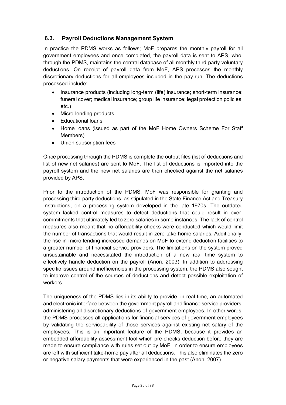#### **6.3. Payroll Deductions Management System**

In practice the PDMS works as follows; MoF prepares the monthly payroll for all government employees and once completed, the payroll data is sent to APS, who, through the PDMS, maintains the central database of all monthly third-party voluntary deductions. On receipt of payroll data from MoF, APS processes the monthly discretionary deductions for all employees included in the pay-run. The deductions processed include:

- Insurance products (including long-term (life) insurance; short-term insurance; funeral cover; medical insurance; group life insurance; legal protection policies; etc.)
- Micro-lending products
- Educational loans
- Home loans (issued as part of the MoF Home Owners Scheme For Staff Members)
- Union subscription fees

Once processing through the PDMS is complete the output files (list of deductions and list of new net salaries) are sent to MoF. The list of deductions is imported into the payroll system and the new net salaries are then checked against the net salaries provided by APS.

Prior to the introduction of the PDMS, MoF was responsible for granting and processing third-party deductions, as stipulated in the State Finance Act and Treasury Instructions, on a processing system developed in the late 1970s. The outdated system lacked control measures to detect deductions that could result in overcommitments that ultimately led to zero salaries in some instances. The lack of control measures also meant that no affordability checks were conducted which would limit the number of transactions that would result in zero take-home salaries. Additionally, the rise in micro-lending increased demands on MoF to extend deduction facilities to a greater number of financial service providers. The limitations on the system proved unsustainable and necessitated the introduction of a new real time system to effectively handle deduction on the payroll (Anon, 2003). In addition to addressing specific issues around inefficiencies in the processing system, the PDMS also sought to improve control of the sources of deductions and detect possible exploitation of workers.

The uniqueness of the PDMS lies in its ability to provide, in real time, an automated and electronic interface between the government payroll and finance service providers, administering all discretionary deductions of government employees. In other words, the PDMS processes all applications for financial services of government employees by validating the serviceability of those services against existing net salary of the employees. This is an important feature of the PDMS, because it provides an embedded affordability assessment tool which pre-checks deduction before they are made to ensure compliance with rules set out by MoF, in order to ensure employees are left with sufficient take-home pay after all deductions. This also eliminates the zero or negative salary payments that were experienced in the past (Anon, 2007).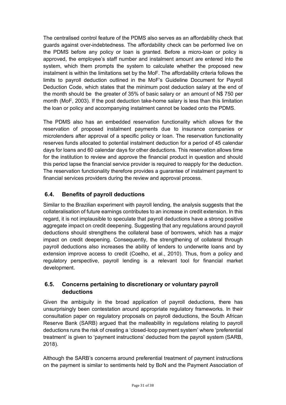The centralised control feature of the PDMS also serves as an affordability check that guards against over-indebtedness. The affordability check can be performed live on the PDMS before any policy or loan is granted. Before a micro-loan or policy is approved, the employee's staff number and instalment amount are entered into the system, which them prompts the system to calculate whether the proposed new instalment is within the limitations set by the MoF. The affordability criteria follows the limits to payroll deduction outlined in the MoF's Guideline Document for Payroll Deduction Code, which states that the minimum post deduction salary at the end of the month should be the greater of 35% of basic salary or an amount of N\$ 750 per month (MoF, 2003). If the post deduction take-home salary is less than this limitation the loan or policy and accompanying instalment cannot be loaded onto the PDMS.

The PDMS also has an embedded reservation functionality which allows for the reservation of proposed instalment payments due to insurance companies or microlenders after approval of a specific policy or loan. The reservation functionality reserves funds allocated to potential instalment deduction for a period of 45 calendar days for loans and 60 calendar days for other deductions. This reservation allows time for the institution to review and approve the financial product in question and should this period lapse the financial service provider is required to reapply for the deduction. The reservation functionality therefore provides a guarantee of instalment payment to financial services providers during the review and approval process.

### **6.4. Benefits of payroll deductions**

Similar to the Brazilian experiment with payroll lending, the analysis suggests that the collateralisation of future earnings contributes to an increase in credit extension. In this regard, it is not implausible to speculate that payroll deductions have a strong positive aggregate impact on credit deepening. Suggesting that any regulations around payroll deductions should strengthens the collateral base of borrowers, which has a major impact on credit deepening. Consequently, the strengthening of collateral through payroll deductions also increases the ability of lenders to underwrite loans and by extension improve access to credit (Coelho, et al., 2010). Thus, from a policy and regulatory perspective, payroll lending is a relevant tool for financial market development.

#### **6.5. Concerns pertaining to discretionary or voluntary payroll deductions**

Given the ambiguity in the broad application of payroll deductions, there has unsurprisingly been contestation around appropriate regulatory frameworks. In their consultation paper on regulatory proposals on payroll deductions, the South African Reserve Bank (SARB) argued that the malleability in regulations relating to payroll deductions runs the risk of creating a 'closed-loop payment system' where 'preferential treatment' is given to 'payment instructions' deducted from the payroll system (SARB, 2018).

Although the SARB's concerns around preferential treatment of payment instructions on the payment is similar to sentiments held by BoN and the Payment Association of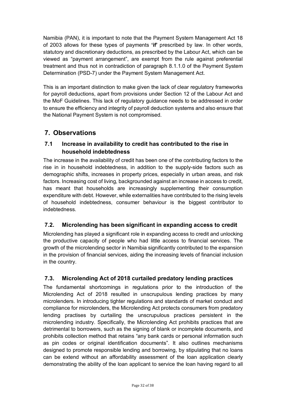Namibia (PAN), it is important to note that the Payment System Management Act 18 of 2003 allows for these types of payments **'if'** prescribed by law. In other words, statutory and discretionary deductions, as prescribed by the Labour Act, which can be viewed as "payment arrangement", are exempt from the rule against preferential treatment and thus not in contradiction of paragraph 8.1.1.0 of the Payment System Determination (PSD-7) under the Payment System Management Act.

This is an important distinction to make given the lack of clear regulatory frameworks for payroll deductions, apart from provisions under Section 12 of the Labour Act and the MoF Guidelines. This lack of regulatory guidance needs to be addressed in order to ensure the efficiency and integrity of payroll deduction systems and also ensure that the National Payment System is not compromised.

## **7. Observations**

#### **7.1 Increase in availability to credit has contributed to the rise in household indebtedness**

The increase in the availability of credit has been one of the contributing factors to the rise in in household indebtedness, in addition to the supply-side factors such as demographic shifts, increases in property prices, especially in urban areas, and risk factors. Increasing cost of living, backgrounded against an increase in access to credit, has meant that households are increasingly supplementing their consumption expenditure with debt. However, while externalities have contributed to the rising levels of household indebtedness, consumer behaviour is the biggest contributor to indebtedness.

#### **7.2. Microlending has been significant in expanding access to credit**

Microlending has played a significant role in expanding access to credit and unlocking the productive capacity of people who had little access to financial services. The growth of the microlending sector in Namibia significantly contributed to the expansion in the provision of financial services, aiding the increasing levels of financial inclusion in the country.

#### **7.3. Microlending Act of 2018 curtailed predatory lending practices**

The fundamental shortcomings in regulations prior to the introduction of the Microlending Act of 2018 resulted in unscrupulous lending practices by many microlenders. In introducing tighter regulations and standards of market conduct and compliance for microlenders, the Microlending Act protects consumers from predatory lending practises by curtailing the unscrupulous practices persistent in the microlending industry. Specifically, the Microlending Act prohibits practices that are detrimental to borrowers, such as the signing of blank or incomplete documents, and prohibits collection method that retains "any bank cards or personal information such as pin codes or original identification documents". It also outlines mechanisms designed to promote responsible lending and borrowing, by stipulating that no loans can be extend without an affordability assessment of the loan application clearly demonstrating the ability of the loan applicant to service the loan having regard to all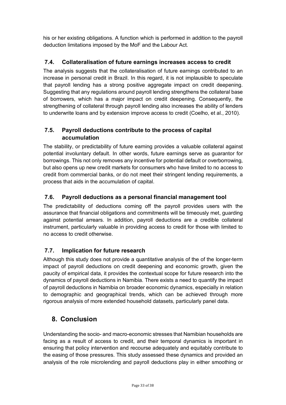his or her existing obligations. A function which is performed in addition to the payroll deduction limitations imposed by the MoF and the Labour Act.

#### **7.4. Collateralisation of future earnings increases access to credit**

The analysis suggests that the collateralisation of future earnings contributed to an increase in personal credit in Brazil. In this regard, it is not implausible to speculate that payroll lending has a strong positive aggregate impact on credit deepening. Suggesting that any regulations around payroll lending strengthens the collateral base of borrowers, which has a major impact on credit deepening. Consequently, the strengthening of collateral through payroll lending also increases the ability of lenders to underwrite loans and by extension improve access to credit (Coelho, et al., 2010).

#### **7.5. Payroll deductions contribute to the process of capital accumulation**

The stability, or predictability of future earning provides a valuable collateral against potential involuntary default. In other words, future earnings serve as guarantor for borrowings. This not only removes any incentive for potential default or overborrowing, but also opens up new credit markets for consumers who have limited to no access to credit from commercial banks, or do not meet their stringent lending requirements, a process that aids in the accumulation of capital.

#### **7.6. Payroll deductions as a personal financial management tool**

The predictability of deductions coming off the payroll provides users with the assurance that financial obligations and commitments will be timeously met, guarding against potential arrears. In addition, payroll deductions are a credible collateral instrument, particularly valuable in providing access to credit for those with limited to no access to credit otherwise.

#### **7.7. Implication for future research**

Although this study does not provide a quantitative analysis of the of the longer-term impact of payroll deductions on credit deepening and economic growth, given the paucity of empirical data, it provides the contextual scope for future research into the dynamics of payroll deductions in Namibia. There exists a need to quantify the impact of payroll deductions in Namibia on broader economic dynamics, especially in relation to demographic and geographical trends, which can be achieved through more rigorous analysis of more extended household datasets, particularly panel data.

## **8. Conclusion**

Understanding the socio- and macro-economic stresses that Namibian households are facing as a result of access to credit, and their temporal dynamics is important in ensuring that policy intervention and recourse adequately and equitably contribute to the easing of those pressures. This study assessed these dynamics and provided an analysis of the role microlending and payroll deductions play in either smoothing or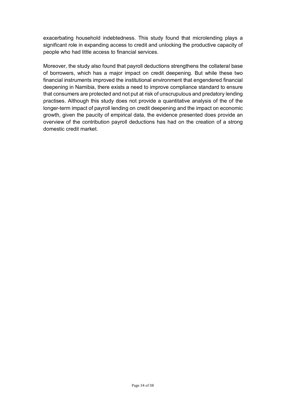exacerbating household indebtedness. This study found that microlending plays a significant role in expanding access to credit and unlocking the productive capacity of people who had little access to financial services.

Moreover, the study also found that payroll deductions strengthens the collateral base of borrowers, which has a major impact on credit deepening. But while these two financial instruments improved the institutional environment that engendered financial deepening in Namibia, there exists a need to improve compliance standard to ensure that consumers are protected and not put at risk of unscrupulous and predatory lending practises. Although this study does not provide a quantitative analysis of the of the longer-term impact of payroll lending on credit deepening and the impact on economic growth, given the paucity of empirical data, the evidence presented does provide an overview of the contribution payroll deductions has had on the creation of a strong domestic credit market.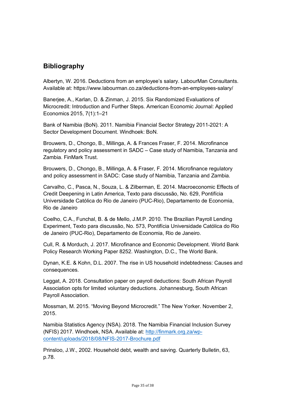## **Bibliography**

Albertyn, W. 2016. Deductions from an employee's salary. LabourMan Consultants. Available at: https://www.labourman.co.za/deductions-from-an-employees-salary/

Banerjee, A., Karlan, D. & Zinman, J. 2015. Six Randomized Evaluations of Microcredit: Introduction and Further Steps. American Economic Journal: Applied Economics 2015, 7(1):1–21

Bank of Namibia (BoN). 2011. Namibia Financial Sector Strategy 2011-2021: A Sector Development Document. Windhoek: BoN.

Brouwers, D., Chongo, B., Millinga, A. & Frances Fraser, F. 2014. Microfinance regulatory and policy assessment in SADC – Case study of Namibia, Tanzania and Zambia. FinMark Trust.

Brouwers, D., Chongo, B., Millinga, A. & Fraser, F. 2014. Microfinance regulatory and policy assessment in SADC: Case study of Namibia, Tanzania and Zambia.

Carvalho, C., Pasca, N., Souza, L. & Zilberman, E. 2014. Macroeconomic Effects of Credit Deepening in Latin America, Texto para discussão, No. 629, Pontifícia Universidade Católica do Rio de Janeiro (PUC-Rio), Departamento de Economia, Rio de Janeiro

Coelho, C.A., Funchal, B. & de Mello, J.M.P. 2010. The Brazilian Payroll Lending Experiment, Texto para discussão, No. 573, Pontifícia Universidade Católica do Rio de Janeiro (PUC-Rio), Departamento de Economia, Rio de Janeiro.

Cull, R. & Morduch, J. 2017. Microfinance and Economic Development. World Bank Policy Research Working Paper 8252. Washington, D.C., The World Bank.

Dynan, K.E. & Kohn, D.L. 2007. The rise in US household indebtedness: Causes and consequences.

Leggat, A. 2018. Consultation paper on payroll deductions: South African Payroll Association opts for limited voluntary deductions. Johannesburg, South African Payroll Association.

Mossman, M. 2015. "Moving Beyond Microcredit." The New Yorker. November 2, 2015.

Namibia Statistics Agency (NSA). 2018. The Namibia Financial Inclusion Survey (NFIS) 2017. Windhoek, NSA. Available at: http://finmark.org.za/wpcontent/uploads/2018/08/NFIS-2017-Brochure.pdf

Prinsloo, J.W., 2002. Household debt, wealth and saving. Quarterly Bulletin, 63, p.78.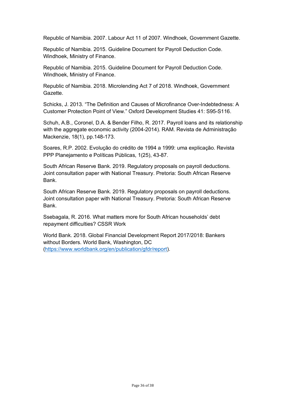Republic of Namibia. 2007. Labour Act 11 of 2007. Windhoek, Government Gazette.

Republic of Namibia. 2015. Guideline Document for Payroll Deduction Code. Windhoek, Ministry of Finance.

Republic of Namibia. 2015. Guideline Document for Payroll Deduction Code. Windhoek, Ministry of Finance.

Republic of Namibia. 2018. Microlending Act 7 of 2018. Windhoek, Government Gazette.

Schicks, J. 2013. "The Definition and Causes of Microfinance Over-Indebtedness: A Customer Protection Point of View." Oxford Development Studies 41: S95-S116.

Schuh, A.B., Coronel, D.A. & Bender Filho, R. 2017. Payroll loans and its relationship with the aggregate economic activity (2004-2014). RAM. Revista de Administração Mackenzie, 18(1), pp.148-173.

Soares, R.P. 2002. Evolução do crédito de 1994 a 1999: uma explicação. Revista PPP Planejamento e Políticas Públicas, 1(25), 43-87.

South African Reserve Bank. 2019. Regulatory proposals on payroll deductions. Joint consultation paper with National Treasury. Pretoria: South African Reserve Bank.

South African Reserve Bank. 2019. Regulatory proposals on payroll deductions. Joint consultation paper with National Treasury. Pretoria: South African Reserve Bank.

Ssebagala, R. 2016. What matters more for South African households' debt repayment difficulties? CSSR Work

World Bank. 2018. Global Financial Development Report 2017/2018: Bankers without Borders. World Bank, Washington, DC (https://www.worldbank.org/en/publication/gfdr/report).